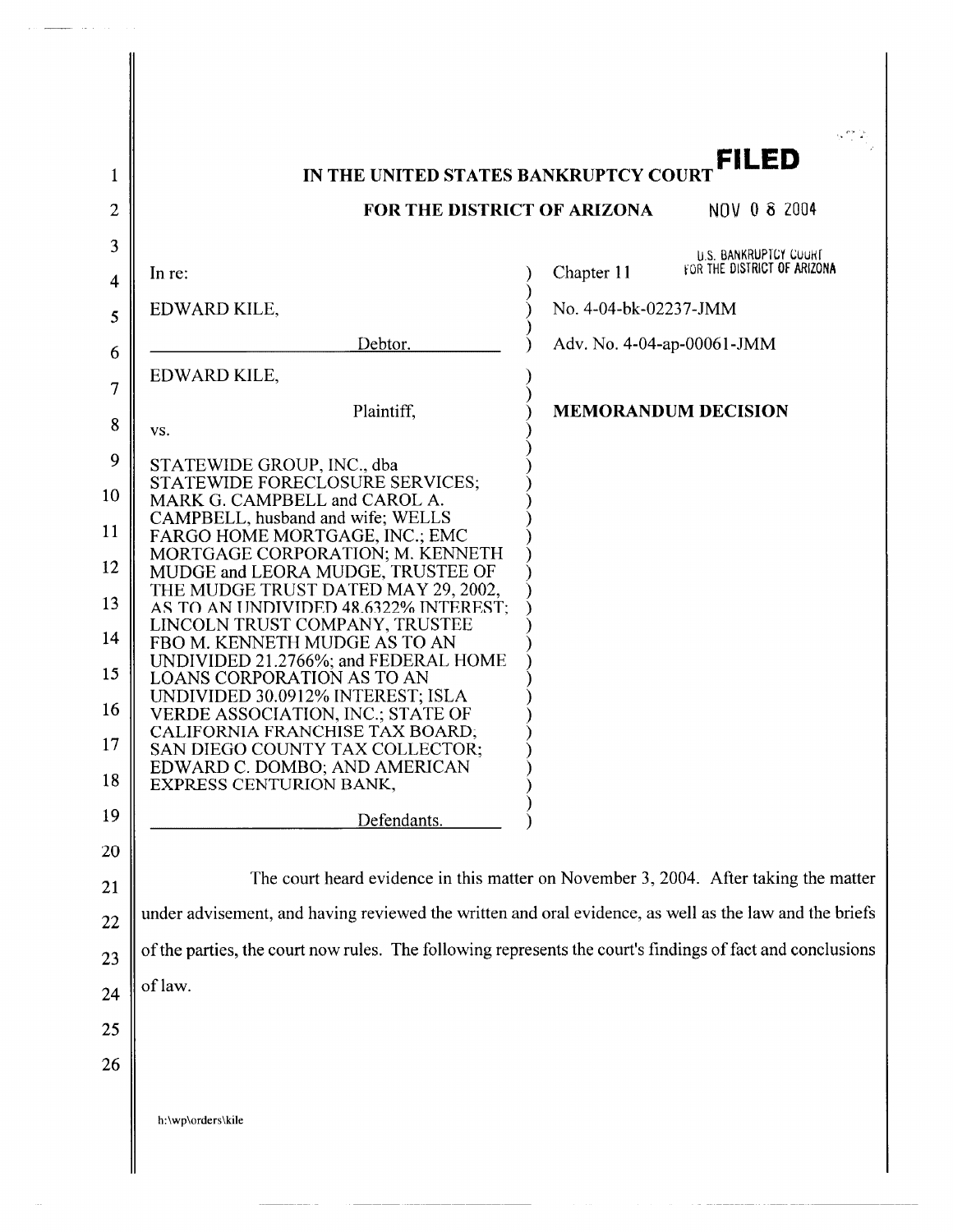|                     |                                                                                                            |                            | FILED                                                       |
|---------------------|------------------------------------------------------------------------------------------------------------|----------------------------|-------------------------------------------------------------|
| 1                   | IN THE UNITED STATES BANKRUPTCY COURT                                                                      |                            |                                                             |
| $\overline{2}$      | FOR THE DISTRICT OF ARIZONA                                                                                |                            | NOV 0 8 2004                                                |
| 3<br>$\overline{4}$ | In re:                                                                                                     | Chapter 11                 | <b>U.S. BANKRUPTCY COURT</b><br>FOR THE DISTRICT OF ARIZONA |
| 5                   | EDWARD KILE,                                                                                               | No. 4-04-bk-02237-JMM      |                                                             |
| 6                   | Debtor.                                                                                                    | Adv. No. 4-04-ap-00061-JMM |                                                             |
| 7                   | EDWARD KILE,                                                                                               |                            |                                                             |
| 8                   | Plaintiff,<br>VS.                                                                                          |                            | <b>MEMORANDUM DECISION</b>                                  |
| 9                   | STATEWIDE GROUP, INC., dba                                                                                 |                            |                                                             |
| 10                  | STATEWIDE FORECLOSURE SERVICES;<br>MARK G. CAMPBELL and CAROL A.                                           |                            |                                                             |
| 11                  | CAMPBELL, husband and wife; WELLS<br>FARGO HOME MORTGAGE, INC.; EMC                                        |                            |                                                             |
| 12                  | MORTGAGE CORPORATION; M. KENNETH<br>MUDGE and LEORA MUDGE, TRUSTEE OF                                      |                            |                                                             |
| 13                  | THE MUDGE TRUST DATED MAY 29, 2002,<br>AS TO AN UNDIVIDED 48.6322% INTEREST;                               |                            |                                                             |
| 14                  | LINCOLN TRUST COMPANY, TRUSTEE<br>FBO M. KENNETH MUDGE AS TO AN                                            |                            |                                                             |
| 15                  | UNDIVIDED 21.2766%; and FEDERAL HOME<br><b>LOANS CORPORATION AS TO AN</b>                                  |                            |                                                             |
| 16                  | UNDIVIDED 30.0912% INTEREST; ISLA<br><b>VERDE ASSOCIATION, INC.; STATE OF</b>                              |                            |                                                             |
| 17                  | CALIFORNIA FRANCHISE TAX BOARD;<br>SAN DIEGO COUNTY TAX COLLECTOR;                                         |                            |                                                             |
| 18                  | EDWARD C. DOMBO; AND AMERICAN<br>EXPRESS CENTURION BANK,                                                   |                            |                                                             |
| 19                  | Defendants.                                                                                                |                            |                                                             |
| 20                  |                                                                                                            |                            |                                                             |
| 21                  | The court heard evidence in this matter on November 3, 2004. After taking the matter                       |                            |                                                             |
| 22                  | under advisement, and having reviewed the written and oral evidence, as well as the law and the briefs     |                            |                                                             |
| 23                  | of the parties, the court now rules. The following represents the court's findings of fact and conclusions |                            |                                                             |
| 24                  | of law.                                                                                                    |                            |                                                             |
| 25                  |                                                                                                            |                            |                                                             |
| 26                  |                                                                                                            |                            |                                                             |
|                     | h:\wp\orders\kile                                                                                          |                            |                                                             |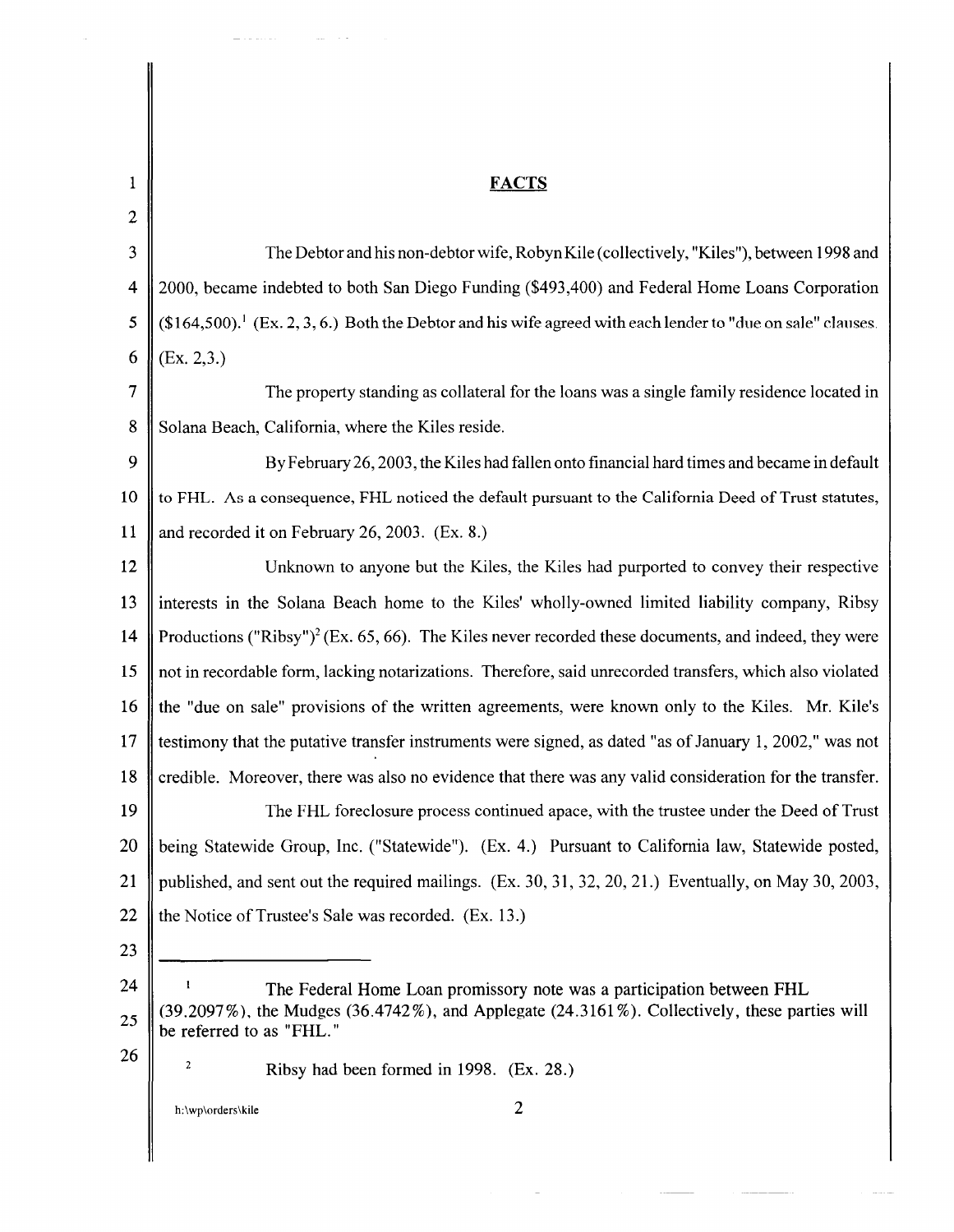| 1              | <b>FACTS</b>                                                                                                                          |
|----------------|---------------------------------------------------------------------------------------------------------------------------------------|
| $\overline{c}$ |                                                                                                                                       |
| 3              | The Debtor and his non-debtor wife, Robyn Kile (collectively, "Kiles"), between 1998 and                                              |
| 4              | 2000, became indebted to both San Diego Funding (\$493,400) and Federal Home Loans Corporation                                        |
| 5              | $($164,500).$ <sup>1</sup> (Ex. 2, 3, 6.) Both the Debtor and his wife agreed with each lender to "due on sale" clauses.              |
| 6              | (Ex. 2, 3.)                                                                                                                           |
| 7              | The property standing as collateral for the loans was a single family residence located in                                            |
| 8              | Solana Beach, California, where the Kiles reside.                                                                                     |
| 9              | By February 26, 2003, the Kiles had fallen onto financial hard times and became in default                                            |
| 10             | to FHL. As a consequence, FHL noticed the default pursuant to the California Deed of Trust statutes,                                  |
| 11             | and recorded it on February 26, 2003. (Ex. 8.)                                                                                        |
| 12             | Unknown to anyone but the Kiles, the Kiles had purported to convey their respective                                                   |
| 13             | interests in the Solana Beach home to the Kiles' wholly-owned limited liability company, Ribsy                                        |
| 14             | Productions ("Ribsy") <sup>2</sup> (Ex. 65, 66). The Kiles never recorded these documents, and indeed, they were                      |
| 15             | not in recordable form, lacking notarizations. Therefore, said unrecorded transfers, which also violated                              |
| 16             | the "due on sale" provisions of the written agreements, were known only to the Kiles. Mr. Kile's                                      |
| 17             | testimony that the putative transfer instruments were signed, as dated "as of January 1, 2002," was not                               |
| 18             | credible. Moreover, there was also no evidence that there was any valid consideration for the transfer.                               |
| 19             | The FHL foreclosure process continued apace, with the trustee under the Deed of Trust                                                 |
| 20             | being Statewide Group, Inc. ("Statewide"). (Ex. 4.) Pursuant to California law, Statewide posted,                                     |
| 21             | published, and sent out the required mailings. (Ex. 30, 31, 32, 20, 21.) Eventually, on May 30, 2003,                                 |
| 22             | the Notice of Trustee's Sale was recorded. (Ex. 13.)                                                                                  |
| 23             |                                                                                                                                       |
| 24             | The Federal Home Loan promissory note was a participation between FHL                                                                 |
| 25             | $(39.2097\%)$ , the Mudges $(36.4742\%)$ , and Applegate $(24.3161\%)$ . Collectively, these parties will<br>be referred to as "FHL." |
| 26             | 2<br>Ribsy had been formed in 1998. (Ex. 28.)                                                                                         |
|                | 2<br>h:\wp\orders\kile                                                                                                                |

 $\mathcal{A}^{\mathcal{A}}$  and  $\mathcal{A}^{\mathcal{A}}$ 

 $\sigma_{\rm{max}}$ 

 $\frac{1}{\sqrt{2}}\left( \frac{1}{\sqrt{2}}\left( \frac{1}{\sqrt{2}}\left( \frac{1}{\sqrt{2}}\left( \frac{1}{\sqrt{2}}\left( \frac{1}{\sqrt{2}}\right) -\frac{1}{\sqrt{2}}\left( \frac{1}{\sqrt{2}}\left( \frac{1}{\sqrt{2}}\right) -\frac{1}{\sqrt{2}}\left( \frac{1}{\sqrt{2}}\right) \right) \right) \right) -\frac{1}{2}\left( \frac{1}{\sqrt{2}}\left( \frac{1}{\sqrt{2}}\left( \frac{1}{\sqrt{2}}\left( \frac{1}{\sqrt{2}}\right) -\frac{$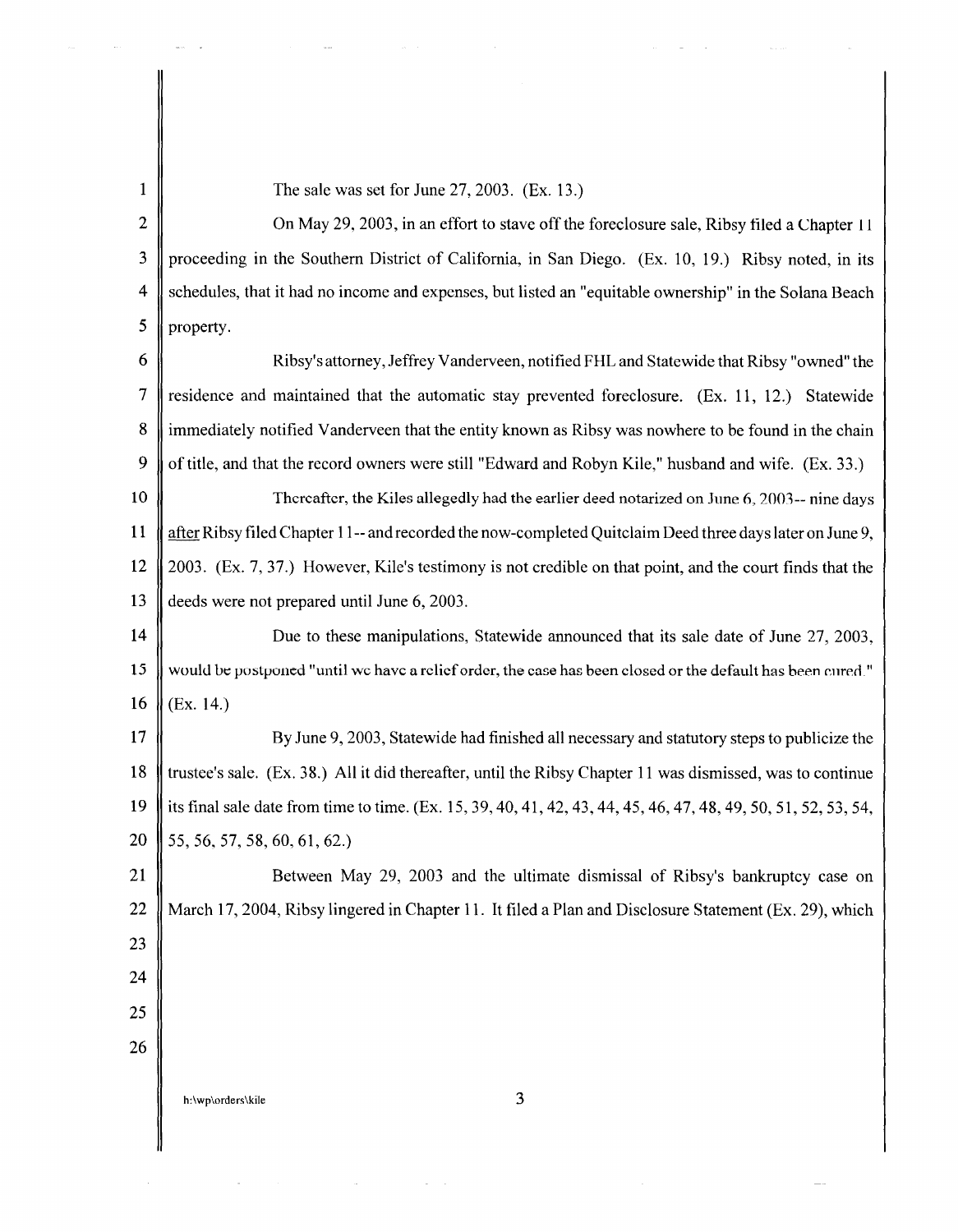## 1  $\parallel$  The sale was set for June 27, 2003. (Ex. 13.)

2 | On May 29, 2003, in an effort to stave off the foreclosure sale, Ribsy filed a Chapter 11 3 proceeding in the Southern District of California, in San Diego. (Ex. 10, 19.) Ribsy noted, in its 4 Schedules, that it had no income and expenses, but listed an "equitable ownership" in the Solana Beach  $5 \parallel$  property.

6 Ribsy's attorney, Jeffrey Vanderveen, notified FHL and Statewide that Ribsy "owned" the 7 Statemer and maintained that the automatic stay prevented foreclosure. (Ex. 11, 12.) Statewide 8 immediately notified Vanderveen that the entity known as Ribsy was nowhere to be found in the chain 9  $\parallel$  of title, and that the record owners were still "Edward and Robyn Kile," husband and wife. (Ex. 33.)

10 Thereafter, the Kiles allegedly had the earlier deed notarized on June 6, 2003-- nine days 11 after Ribsy filed Chapter 11-- and recorded the now-completed Quitclaim Deed three days later on June 9, 12 2003. (Ex. 7, 37.) However, Kile's testimony is not credible on that point, and the court finds that the 13 deeds were not prepared until June 6, 2003.

14 **Due to these manipulations**, Statewide announced that its sale date of June 27, 2003, 15 would be postponed "until we have a relief order, the case has been closed or the default has been cured." 16  $|(Ex. 14.)$ 

17 By June 9, 2003, Statewide had finished all necessary and statutory steps to publicize the 18 trustee's sale. (Ex. 38.) All it did thereafter, until the Ribsy Chapter 11 was dismissed, was to continue 19 its final sale date from time to time. (Ex. 15, 39, 40, 41, 42, 43, 44, 45, 46, 47, 48, 49, 50, 51, 52, 53, 54, 20  $\parallel$  55, 56, 57, 58, 60, 61, 62.)

21 | Between May 29, 2003 and the ultimate dismissal of Ribsy's bankruptcy case on 22 March 17, 2004, Ribsy lingered in Chapter 11. It filed a Plan and Disclosure Statement (Ex. 29), which 23 24 25 26

h:\wp\orders\kile 3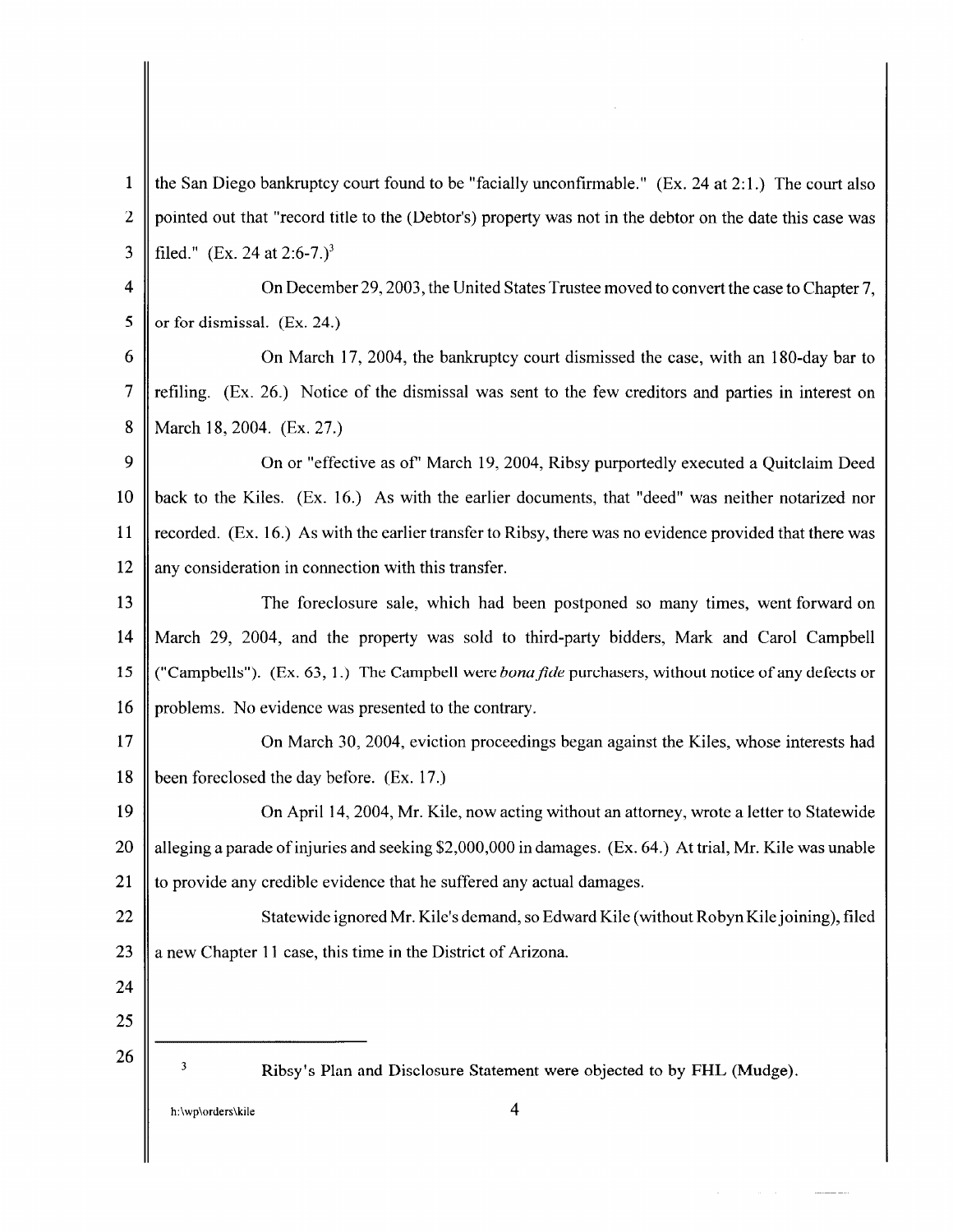1 the San Diego bankruptcy court found to be "facially unconfirmable." (Ex. 24 at 2:1.) The court also 2 pointed out that "record title to the (Debtor's) property was not in the debtor on the date this case was 3 || filed." (Ex. 24 at  $2:6-7.$ )<sup>3</sup> 4  $\parallel$  On December 29, 2003, the United States Trustee moved to convert the case to Chapter 7. 5  $\parallel$  or for dismissal. (Ex. 24.) 6 On March 17, 2004, the bankruptcy court dismissed the case, with an 180-day bar to 7 refiling. (Ex. 26.) Notice of the dismissal was sent to the few creditors and parties in interest on 8 || March 18, 2004. (Ex. 27.) 9 | On or "effective as of" March 19, 2004, Ribsy purportedly executed a Quitclaim Deed 10 back to the Kiles. (Ex. 16.) As with the earlier documents, that "deed" was neither notarized nor 11 recorded. (Ex. 16.) As with the earlier transfer to Ribsy, there was no evidence provided that there was 12 || any consideration in connection with this transfer. 13 The foreclosure sale, which had been postponed so many times, went forward on 14 March 29, 2004, and the property was sold to third-party bidders, Mark and Carol Campbell 15 ("Campbells"). (Ex. 63, 1.) The Campbell were *bona fide* purchasers, without notice of any defects or 16 || problems. No evidence was presented to the contrary. 17 **On March 30, 2004, eviction proceedings began against the Kiles, whose interests had** 18 been foreclosed the day before. (Ex. 17.) 19 On April 14, 2004, Mr. Kile, now acting without an attorney, wrote a letter to Statewide 20  $\parallel$  alleging a parade of injuries and seeking \$2,000,000 in damages. (Ex. 64.) At trial, Mr. Kile was unable 21  $\parallel$  to provide any credible evidence that he suffered any actual damages. 22 || Statewide ignored Mr. Kile's demand, so Edward Kile (without Robyn Kile joining), filed 23  $\parallel$  a new Chapter 11 case, this time in the District of Arizona. 24 25 26  $\overline{\mathbf{3}}$ Ribsy's Plan and Disclosure Statement were objected to by FHL (Mudge). h:\wp\orders\kile 4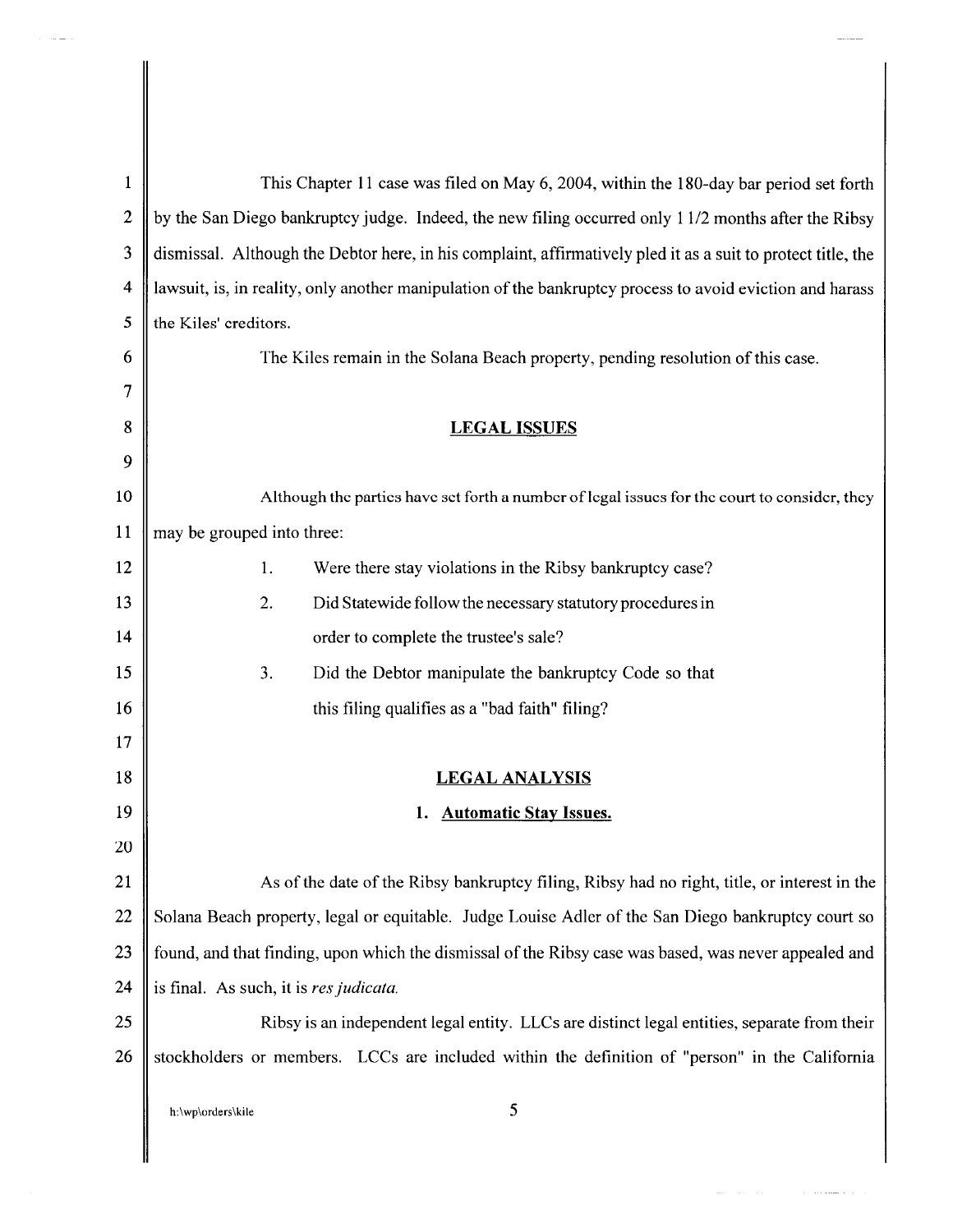| $\mathbf{1}$   | This Chapter 11 case was filed on May 6, 2004, within the 180-day bar period set forth                       |  |
|----------------|--------------------------------------------------------------------------------------------------------------|--|
| $\overline{2}$ | by the San Diego bankruptcy judge. Indeed, the new filing occurred only 11/2 months after the Ribsy          |  |
| 3              | dismissal. Although the Debtor here, in his complaint, affirmatively pled it as a suit to protect title, the |  |
| $\overline{4}$ | lawsuit, is, in reality, only another manipulation of the bankruptcy process to avoid eviction and harass    |  |
| 5              | the Kiles' creditors.                                                                                        |  |
| 6              | The Kiles remain in the Solana Beach property, pending resolution of this case.                              |  |
| 7              |                                                                                                              |  |
| 8              | <b>LEGAL ISSUES</b>                                                                                          |  |
| 9              |                                                                                                              |  |
| 10             | Although the parties have set forth a number of legal issues for the court to consider, they                 |  |
| 11             | may be grouped into three:                                                                                   |  |
| 12             | 1.<br>Were there stay violations in the Ribsy bankruptcy case?                                               |  |
| 13             | 2.<br>Did Statewide follow the necessary statutory procedures in                                             |  |
| 14             | order to complete the trustee's sale?                                                                        |  |
| 15             | 3.<br>Did the Debtor manipulate the bankruptcy Code so that                                                  |  |
| 16             | this filing qualifies as a "bad faith" filing?                                                               |  |
| 17             |                                                                                                              |  |
| 18             | <b>LEGAL ANALYSIS</b>                                                                                        |  |
| 19             | <b>Automatic Stay Issues.</b><br>1.                                                                          |  |
| 20             |                                                                                                              |  |
| 21             | As of the date of the Ribsy bankruptcy filing, Ribsy had no right, title, or interest in the                 |  |
| 22             | Solana Beach property, legal or equitable. Judge Louise Adler of the San Diego bankruptcy court so           |  |
| 23             | found, and that finding, upon which the dismissal of the Ribsy case was based, was never appealed and        |  |
| 24             | is final. As such, it is res judicata.                                                                       |  |
| 25             | Ribsy is an independent legal entity. LLCs are distinct legal entities, separate from their                  |  |
| 26             | stockholders or members. LCCs are included within the definition of "person" in the California               |  |
|                | 5<br>h:\wp\orders\kile                                                                                       |  |

 $\mathcal{O}(\mathcal{O}_\mathcal{O})$  . The maximum of  $\mathcal{O}(\mathcal{O}_\mathcal{O})$ 

 $\parallel$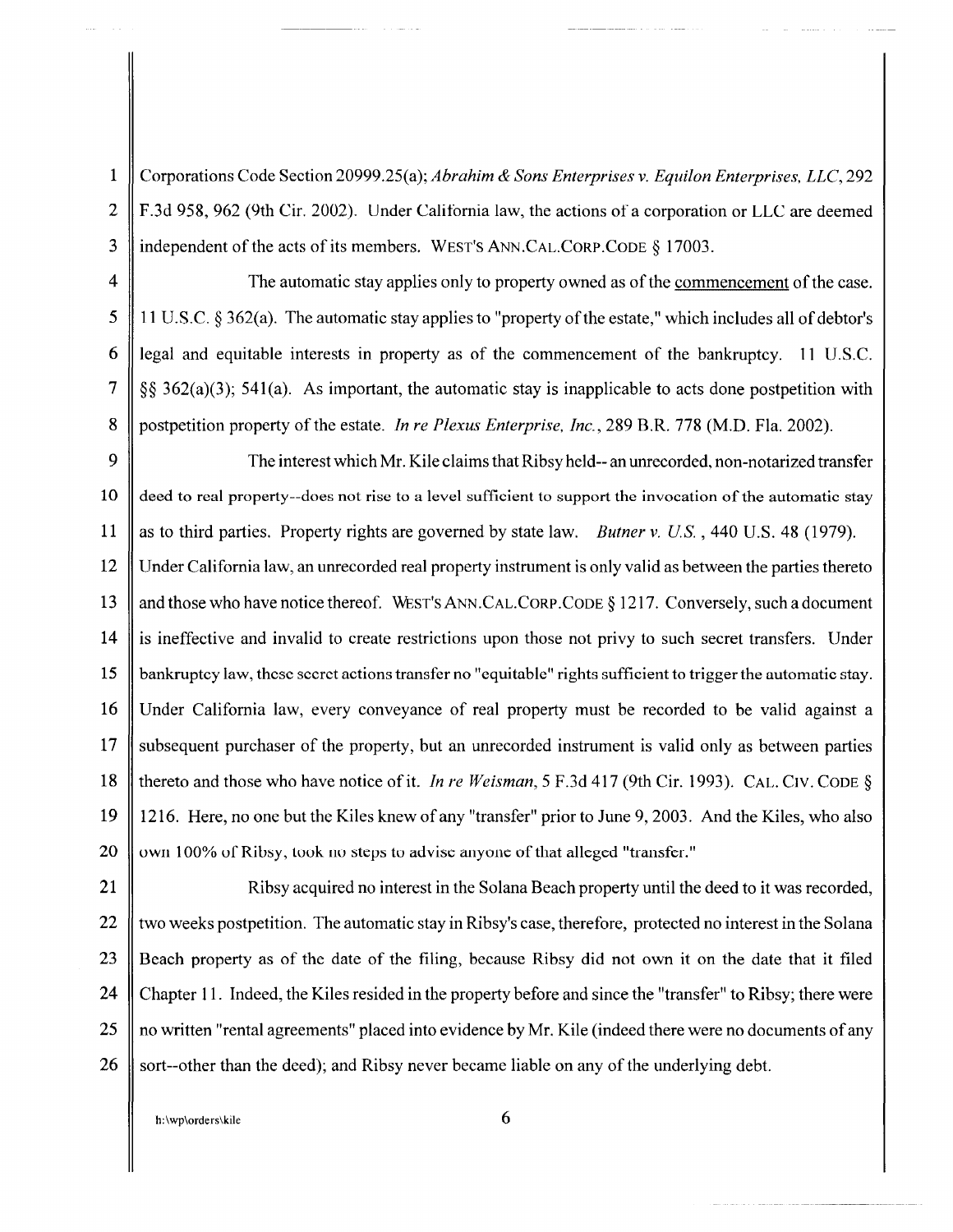1 Corporations Code Section 20999.25(a); *Abrahim* & *Sons Enterprises v. Equilon Enterprises, LLC,* 292 2 F.3d 958, 962 (9th Cir. 2002). Under Calitomia law, the actions of a corporation or LLC are deemed 3 || independent of the acts of its members. WEST'S ANN.CAL.CORP.CODE § 17003.

4 The automatic stay applies only to property owned as of the commencement of the case. 5 | 11 U.S.C. § 362(a). The automatic stay applies to "property of the estate," which includes all of debtor's 6 | legal and equitable interests in property as of the commencement of the bankruptcy. 11 U.S.C. 7  $\parallel$  §§ 362(a)(3); 541(a). As important, the automatic stay is inapplicable to acts done postpetition with 8 postpetition property of the estate. *In re Plexus Enterprise, Inc.,* 289 B.R. 778 (M.D. Fla. 2002).

9  $\parallel$  The interest which Mr. Kile claims that Ribsy held-- an unrecorded, non-notarized transfer 10 deed to real property--does not rise to a level sufficient to support the invocation of the automatic stay 11 as to third parties. Property rights are governed by state law. *Butner v. U.S.* , 440 U.S. 48 (1979). 12 Under California law, an unrecorded real property instrument is only valid as between the parties thereto 13 and those who have notice thereof. WEST'S ANN. CAL. CORP. CODE § 1217. Conversely, such a document 14 is ineffective and invalid to create restrictions upon those not privy to such secret transfers. Under 15 bankruptcy law, these secret actions transfer no "equitable" rights sufficient to trigger the automatic stay. 16 Under California law, every conveyance of real property must be recorded to be valid against a 17 Subsequent purchaser of the property, but an unrecorded instrument is valid only as between parties 18 thereto and those who have notice of it. *In re Weisman,* 5 F.3d 417 (9th Cir. 1993). CAL. Civ. CODE§ 19 1216. Here, no one but the Kiles knew of any "transfer" prior to June 9, 2003. And the Kiles, who also 20 wur 100% of Ribsy, took no steps to advise anyone of that alleged "transfer."

21 ||<br>
Ribsy acquired no interest in the Solana Beach property until the deed to it was recorded, 22  $\parallel$  two weeks postpetition. The automatic stay in Ribsy's case, therefore, protected no interest in the Solana 23 Beach property as of the date of the filing, because Ribsy did not own it on the date that it filed 24 Chapter 11. Indeed, the Kiles resided in the property before and since the "transfer" to Ribsy; there were 25 || no written "rental agreements" placed into evidence by Mr. Kile (indeed there were no documents of any 26 Sort--other than the deed); and Ribsy never became liable on any of the underlying debt.

h:  $\wp \cdot \mathsf{in} \cdot \mathsf{in} \cdot \mathsf{in} \cdot \mathsf{in} \cdot \mathsf{in} \cdot \mathsf{in} \cdot \mathsf{in} \cdot \mathsf{in} \cdot \mathsf{in} \cdot \mathsf{in} \cdot \mathsf{in} \cdot \mathsf{in} \cdot \mathsf{in} \cdot \mathsf{in} \cdot \mathsf{in} \cdot \mathsf{in} \cdot \mathsf{in} \cdot \mathsf{in} \cdot \mathsf{in} \cdot \mathsf{in} \cdot \mathsf{in} \cdot \mathsf{in} \cdot \mathsf{in} \cdot \mathsf{in} \cdot \mathsf{in} \cdot \mathsf{in} \cdot \mathsf{in$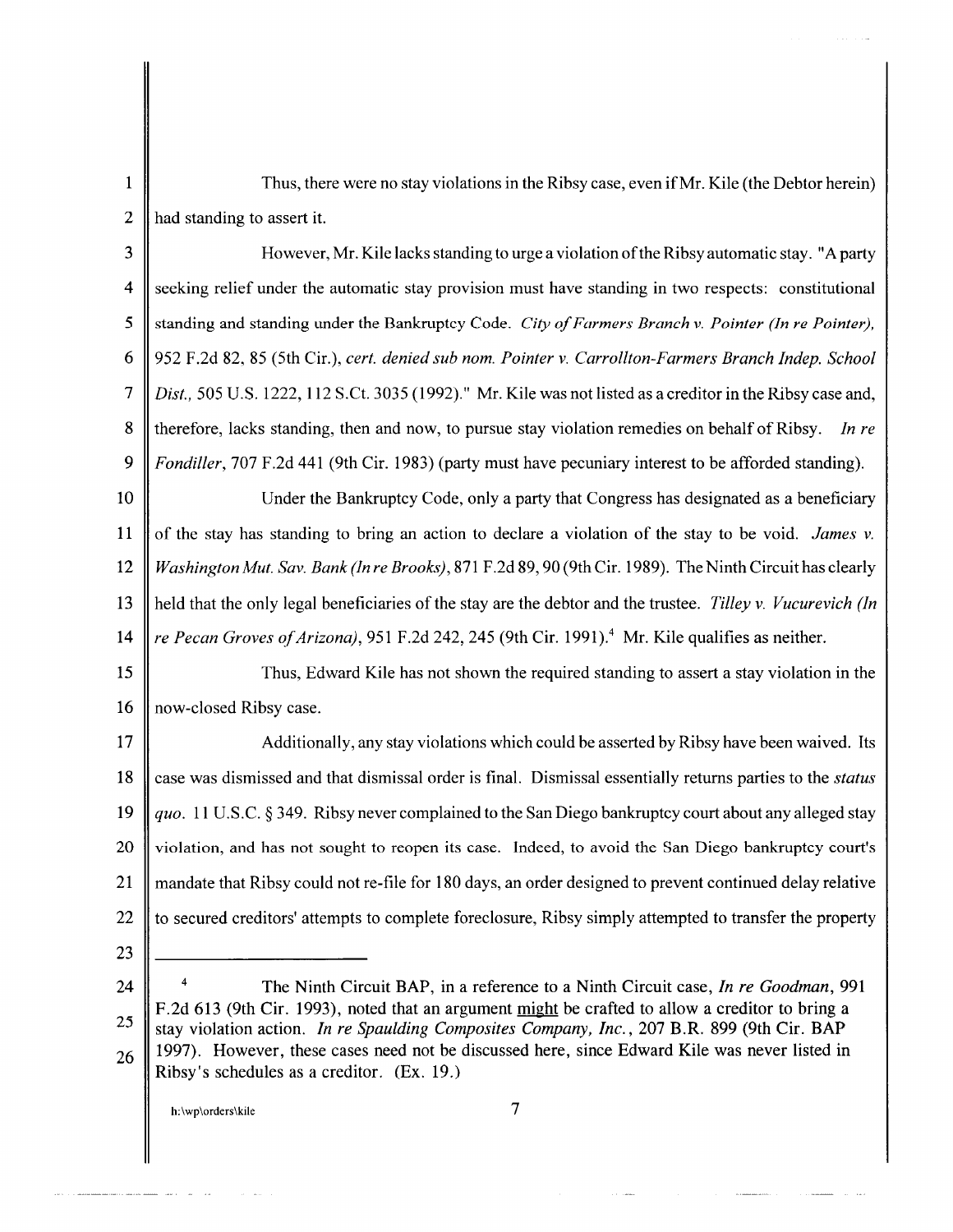1 Thus, there were no stay violations in the Ribsy case, even if Mr. Kile (the Debtor herein) 2  $\parallel$  had standing to assert it.

3 However, Mr. Kile lacks standing to urge a violation ofthe Ribsy automatic stay. "A party 4 Seeking relief under the automatic stay provision must have standing in two respects: constitutional 5 Standing and standing under the Bankruptcy Code. *City of Farmers Branch v. Pointer (In re Pointer)*, 6 952 F.2d 82, 85 (5th Cir.), *cert. denied sub nom. Pointer v. Carrollton-Farmers Branch Indep. School*  7 *Dist.,* 505U.S.l222, 112S.Ct.3035(1992)." Mr.KilewasnotlistedasacreditorintheRibsycaseand, 8 therefore, lacks standing, then and now, to pursue stay violation remedies on behalf of Ribsy. *In re*  9 *Fondiller,* 707 F.2d 441 (9th Cir. 1983) (party must have pecuniary interest to be afforded standing).

10 Under the Bankruptcy Code, only a party that Congress has designated as a beneficiary 11 of the stay has standing to bring an action to declare a violation of the stay to be void. *James v.* 12 *WashingtonMut. Sav. Bank (In re Brooks),* 871 F.2d 89,90 (9th Cir. 1989). The Ninth Circuit has clearly 13 held that the only legal beneficiaries of the stay are the debtor and the trustee. *Tilley v. Vucurevich (In*  14 *re Pecan Groves of Arizona),* 951 F.2d 242, 245 (9th Cir. 1991 ).4 Mr. Kile qualifies as neither.

15 Thus, Edward Kile has not shown the required standing to assert a stay violation in the 16 || now-closed Ribsy case.

17  $\parallel$  Additionally, any stay violations which could be asserted by Ribsy have been waived. Its 18 case was dismissed and that dismissal order is final. Dismissal essentially returns parties to the *status* 19 *quo.* 11 U.S.C. § 349. Ribsy never complained to the San Diego bankruptcy court about any alleged stay 20 violation, and has not sought to reopen its case. Indeed, to avoid the San Diego bankruptcy court's 21 mandate that Ribsy could notre-file for 180 days, an order designed to prevent continued delay relative 22 to secured creditors' attempts to complete foreclosure, Ribsy simply attempted to transfer the property

- 23
- 24

25

26

h:\wp\orders\kile 7

<sup>4</sup> The Ninth Circuit BAP, in a reference to a Ninth Circuit case, *In re Goodman,* 991 F.2d 613 (9th Cir. 1993), noted that an argument might be crafted to allow a creditor to bring a stay violation action. *In re Spaulding Composites Company, Inc.,* 207 B.R. 899 (9th Cir. BAP 1997). However, these cases need not be discussed here, since Edward Kile was never listed in Ribsy's schedules as a creditor. (Ex. 19.)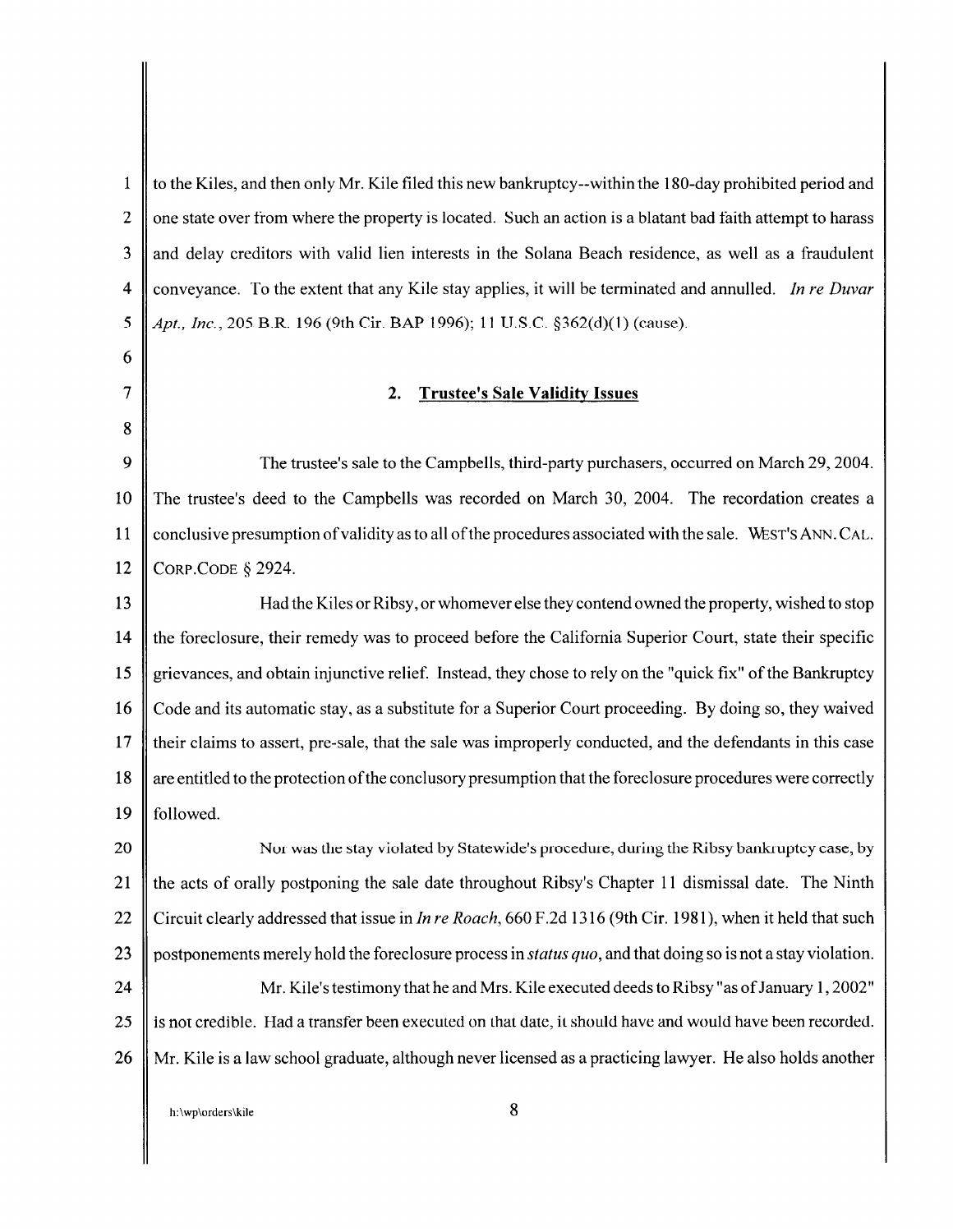1 to the Kiles, and then only Mr. Kile filed this new bankruptcy--within the 180-day prohibited period and 2  $\parallel$  one state over from where the property is located. Such an action is a blatant bad faith attempt to harass 3 and delay creditors with valid lien interests in the Solana Beach residence, as well as a fraudulent 4 conveyance. To the extent that any Kile stay applies, it will be terminated and annulled. *In re Duvar*  5 *Apt., Inc.*, 205 B.R. 196 (9th Cir. BAP 1996); 11 U.S.C. §362(d)(1) (cause). 6 7 8 2. Trustee's Sale Validity Issues 9 The trustee's sale to the Campbells, third-party purchasers, occurred on March 29, 2004. 10 The trustee's deed to the Campbells was recorded on March 30, 2004. The recordation creates a 11 conclusive presumption of validity as to all of the procedures associated with the sale. WEST'S ANN. CAL. 12 CORP.CODE *§* 2924. 13 Had the Kiles or Ribsy, or whomever else they contend owned the property, wished to stop 14 the foreclosure, their remedy was to proceed before the California Superior Court, state their specific 15 grievances, and obtain injunctive relief. Instead, they chose to rely on the "quick fix" of the Bankruptcy 16 Code and its automatic stay, as a substitute for a Superior Court proceeding. By doing so, they waived 17 their claims to assert, pre-sale, that the sale was improperly conducted, and the defendants in this case 18 are entitled to the protection of the conclusory presumption that the foreclosure procedures were correctly 19  $\parallel$  followed. 20 || Nur was the stay violated by Statewide's procedure, during the Ribsy bankruptcy case, by 21 the acts of orally postponing the sale date throughout Ribsy's Chapter 11 dismissal date. The Ninth 22 Circuit clearly addressed that issue in *In re Roach,* 660 F .2d 1316 (9th Cir. 1981 ), when it held that such 23 postponements merely hold the foreclosure process in *status quo*, and that doing so is not a stay violation. 24 Mr. Kile's testimony that he and Mrs. Kile executed deeds to Ribsy "as of January 1, 2002" 25 is not credible. Had a transfer been executed on that date, it should have and would have been recorded. 26 Mr. Kile is a law school graduate, although never licensed as a practicing lawyer. He also holds another h:\wp\orders\kile 8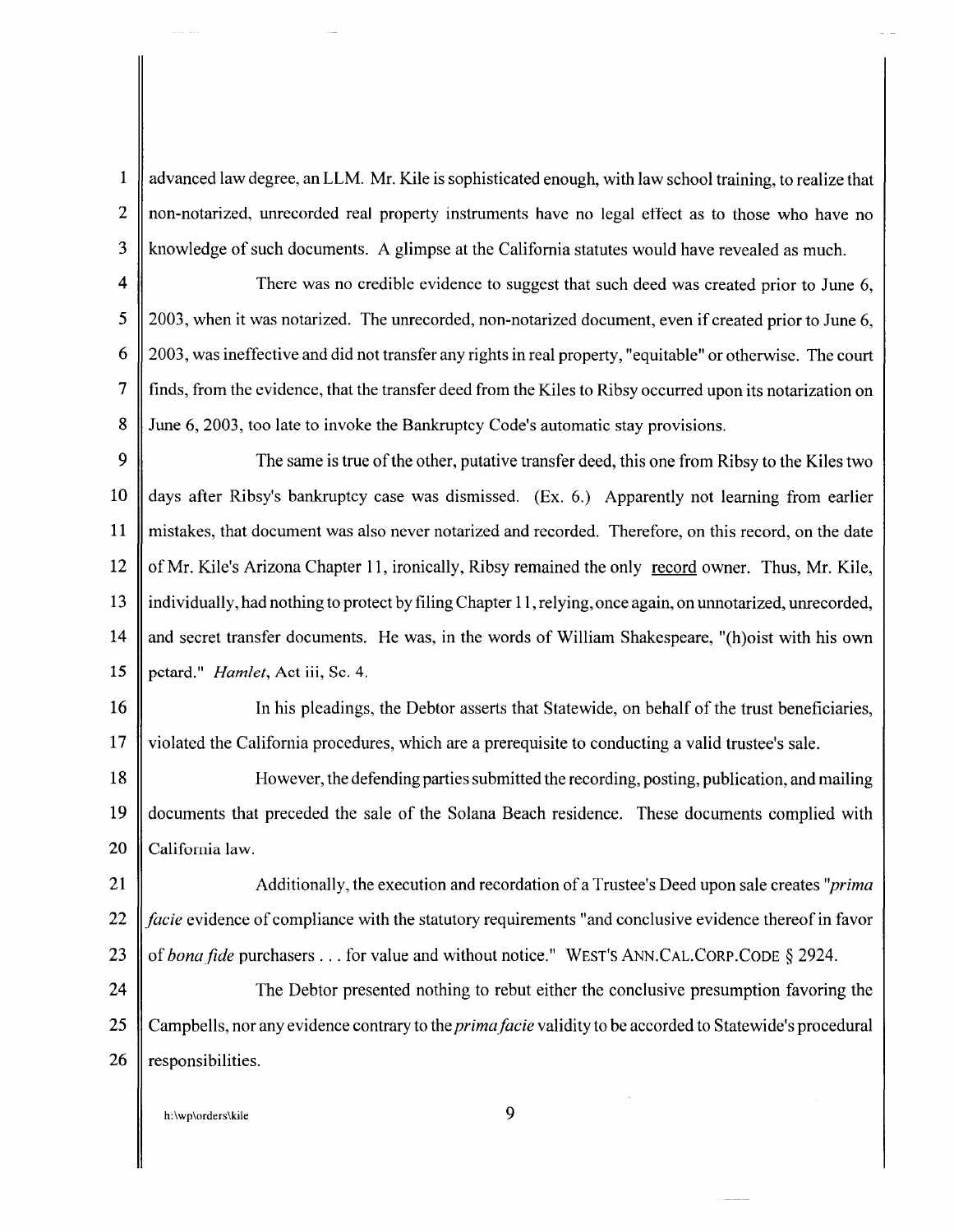1 | advanced law degree, an LLM. Mr. Kile is sophisticated enough, with law school training, to realize that 2 || non-notarized, unrecorded real property instruments have no legal effect as to those who have no 3 || knowledge of such documents. A glimpse at the California statutes would have revealed as much.

4  $\parallel$  There was no credible evidence to suggest that such deed was created prior to June 6, 5 2003, when it was notarized. The unrecorded, non-notarized document, even if created prior to June 6, 6 2003, was ineffective and did not transfer any rights in real property, "equitable" or otherwise. The court 7 finds, from the evidence, that the transfer deed from the Kiles to Ribsy occurred upon its notarization on 8 June 6, 2003, too late to invoke the Bankruptcy Code's automatic stay provisions.

9 The same is true of the other, putative transfer deed, this one from Ribsy to the Kiles two 10 days after Ribsy's bankruptcy case was dismissed. (Ex. 6.) Apparently not learning from earlier 11 mistakes, that document was also never notarized and recorded. Therefore, on this record, on the date 12 of Mr. Kile's Arizona Chapter 11, ironically, Ribsy remained the only record owner. Thus, Mr. Kile, 13 individually, had nothing to protect by filing Chapter 11, relying, once again, on unnotarized, unrecorded, 14 and secret transfer documents. He was, in the words of William Shakespeare, "(h)oist with his own 15 petard." *Hamlet,* Act iii, Sc. 4.

16 || In his pleadings, the Debtor asserts that Statewide, on behalf of the trust beneficiaries, 17 violated the California procedures, which are a prerequisite to conducting a valid trustee's sale.

18 However, the defending parties submitted the recording, posting, publication, and mailing 19 documents that preceded the sale of the Solana Beach residence. These documents complied with 20 California law.

21 Additionally, the execution and recordation of a Trustee's Deed upon sale creates *''prima*  22 *facie* evidence of compliance with the statutory requirements "and conclusive evidence thereof in favor 23 of *bona fide* purchasers ... for value and without notice." WEST'S ANN.CAL.CORP.CODE § 2924.

24 The Debtor presented nothing to rebut either the conclusive presumption favoring the 25 Camp bells, nor any evidence contrary to the *prima facie* validity to be accorded to Statewide's procedural 26  $\parallel$  responsibilities.

h:\wp\orders\kile 9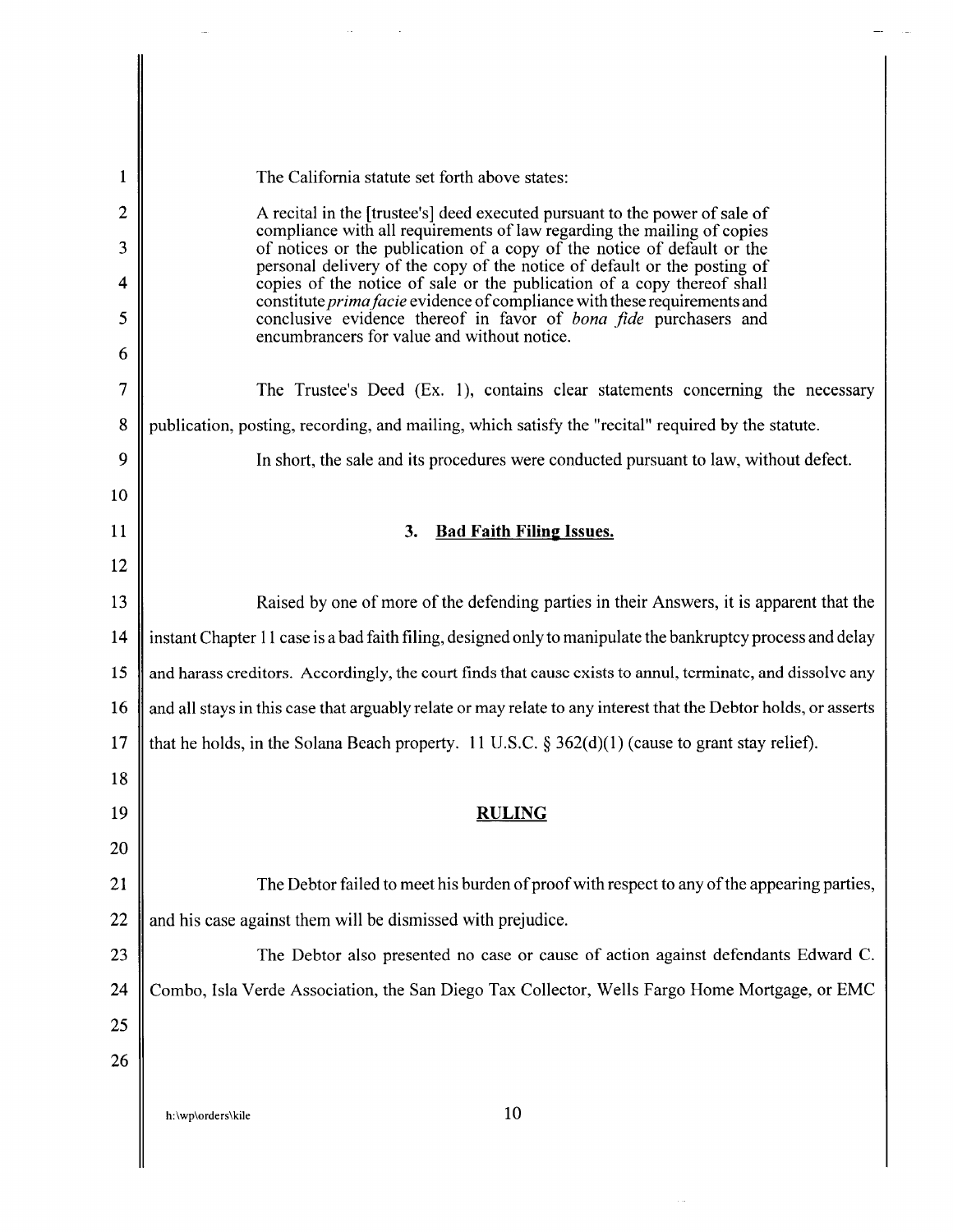| 1              | The California statute set forth above states:                                                                                                         |  |  |
|----------------|--------------------------------------------------------------------------------------------------------------------------------------------------------|--|--|
| $\overline{2}$ | A recital in the [trustee's] deed executed pursuant to the power of sale of<br>compliance with all requirements of law regarding the mailing of copies |  |  |
| 3              | of notices or the publication of a copy of the notice of default or the<br>personal delivery of the copy of the notice of default or the posting of    |  |  |
| 4              | copies of the notice of sale or the publication of a copy thereof shall<br>constitute prima facie evidence of compliance with these requirements and   |  |  |
| 5              | conclusive evidence thereof in favor of bona fide purchasers and<br>encumbrancers for value and without notice.                                        |  |  |
| 6              |                                                                                                                                                        |  |  |
| 7              | The Trustee's Deed (Ex. 1), contains clear statements concerning the necessary                                                                         |  |  |
| 8              | publication, posting, recording, and mailing, which satisfy the "recital" required by the statute.                                                     |  |  |
| 9              | In short, the sale and its procedures were conducted pursuant to law, without defect.                                                                  |  |  |
| 10             |                                                                                                                                                        |  |  |
| 11             | <b>Bad Faith Filing Issues.</b><br>3.                                                                                                                  |  |  |
| 12             |                                                                                                                                                        |  |  |
| 13             | Raised by one of more of the defending parties in their Answers, it is apparent that the                                                               |  |  |
| 14             | instant Chapter 11 case is a bad faith filing, designed only to manipulate the bankruptcy process and delay                                            |  |  |
| 15             | and harass creditors. Accordingly, the court finds that cause exists to annul, terminate, and dissolve any                                             |  |  |
| 16             | and all stays in this case that arguably relate or may relate to any interest that the Debtor holds, or asserts                                        |  |  |
| 17             | that he holds, in the Solana Beach property. 11 U.S.C. § 362(d)(1) (cause to grant stay relief).                                                       |  |  |
| 18             |                                                                                                                                                        |  |  |
| 19             | <b>RULING</b>                                                                                                                                          |  |  |
| 20             |                                                                                                                                                        |  |  |
| 21             | The Debtor failed to meet his burden of proof with respect to any of the appearing parties,                                                            |  |  |
| 22             | and his case against them will be dismissed with prejudice.                                                                                            |  |  |
| 23             | The Debtor also presented no case or cause of action against defendants Edward C.                                                                      |  |  |
| 24             | Combo, Isla Verde Association, the San Diego Tax Collector, Wells Fargo Home Mortgage, or EMC                                                          |  |  |
| 25             |                                                                                                                                                        |  |  |
| 26             |                                                                                                                                                        |  |  |
|                |                                                                                                                                                        |  |  |
|                | 10<br>h:\wp\orders\kile                                                                                                                                |  |  |
|                |                                                                                                                                                        |  |  |

 $\sim$   $\sim$ 

 $\overline{\phantom{a}}$  $\bar{a}$ 

 $\mathcal{L}^{\text{max}}_{\text{max}}$  and  $\mathcal{L}^{\text{max}}_{\text{max}}$ 

 $\sim$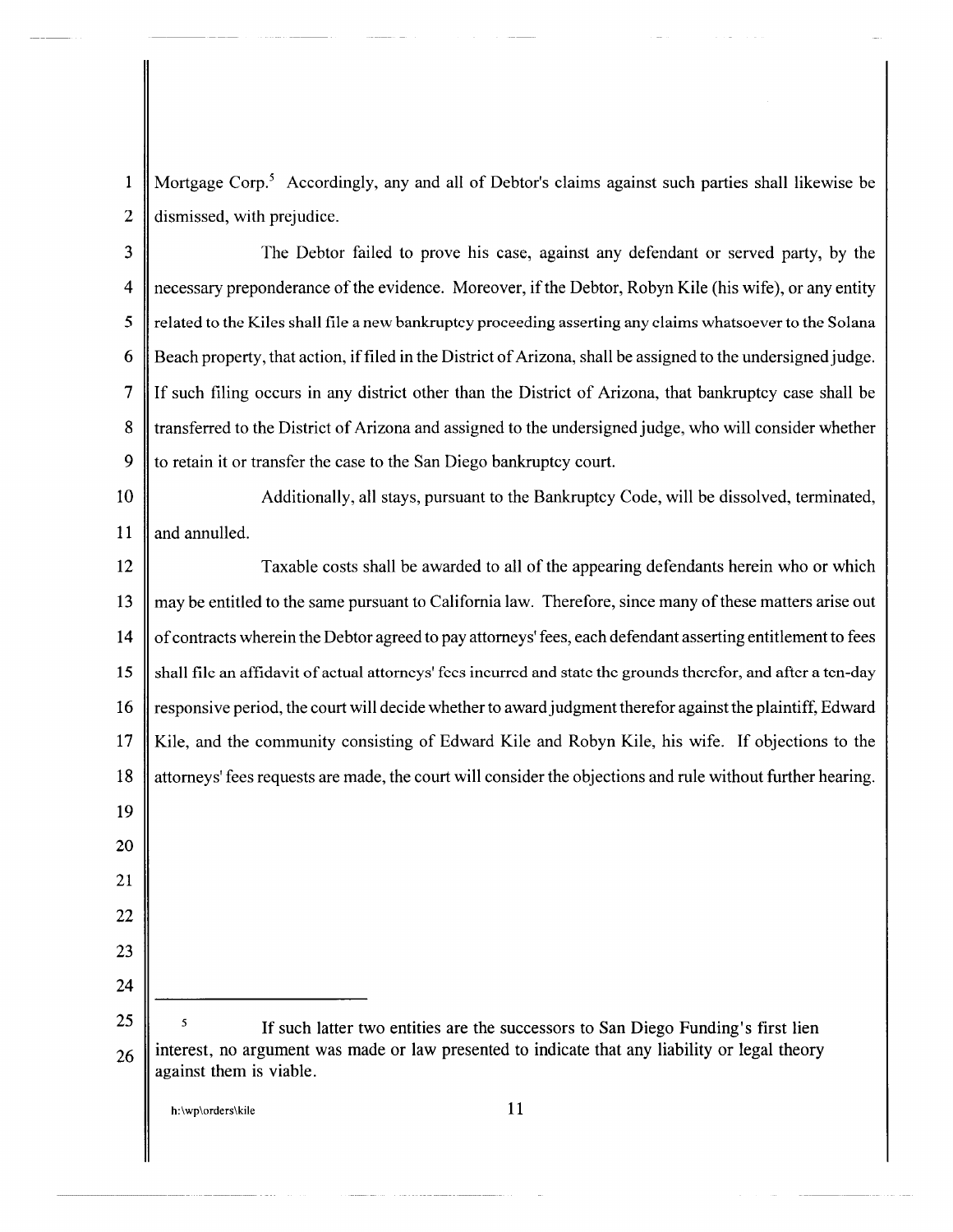1 Mortgage Corp.5 Accordingly, any and all of Debtor's claims against such parties shall likewise be 2 dismissed, with prejudice.

3 The Debtor failed to prove his case, against any defendant or served party, by the 4 necessary preponderance of the evidence. Moreover, if the Debtor, Robyn Kile (his wife), or any entity 5 | related to the Kiles shall file a new bankruptcy proceeding asserting any claims whatsoever to the Solana 6 Beach property, that action, if filed in the District of Arizona, shall be assigned to the undersigned judge. 7 If such filing occurs in any district other than the District of Arizona, that bankruptcy case shall be 8 transferred to the District of Arizona and assigned to the undersigned judge, who will consider whether 9  $\parallel$  to retain it or transfer the case to the San Diego bankruptcy court.

10 Additionally, all stays, pursuant to the Bankruptcy Code, will be dissolved, terminated, 11  $\parallel$  and annulled.

12 Taxable costs shall be awarded to all of the appearing defendants herein who or which 13 may be entitled to the same pursuant to California law. Therefore, since many of these matters arise out 14 of contracts wherein the Debtor agreed to pay attorneys' fees, each defendant asserting entitlement to fees 15 shall file an affidavit of actual attorneys' fees incurred and state the grounds therefor, and after a ten-day 16 responsive period, the court will decide whether to award judgment therefor against the plaintiff, Edward 17 Kile, and the community consisting of Edward Kile and Robyn Kile, his wife. If objections to the 18 attorneys' fees requests are made, the court will consider the objections and rule without further hearing. 19 20 21 22 23 24 25 26 If such latter two entities are the successors to San Diego Funding's first lien interest, no argument was made or law presented to indicate that any liability or legal theory against them is viable.

h: $\wp\otimes\mathsf{r}_k$  h:  $\wp\otimes\mathsf{r}_k$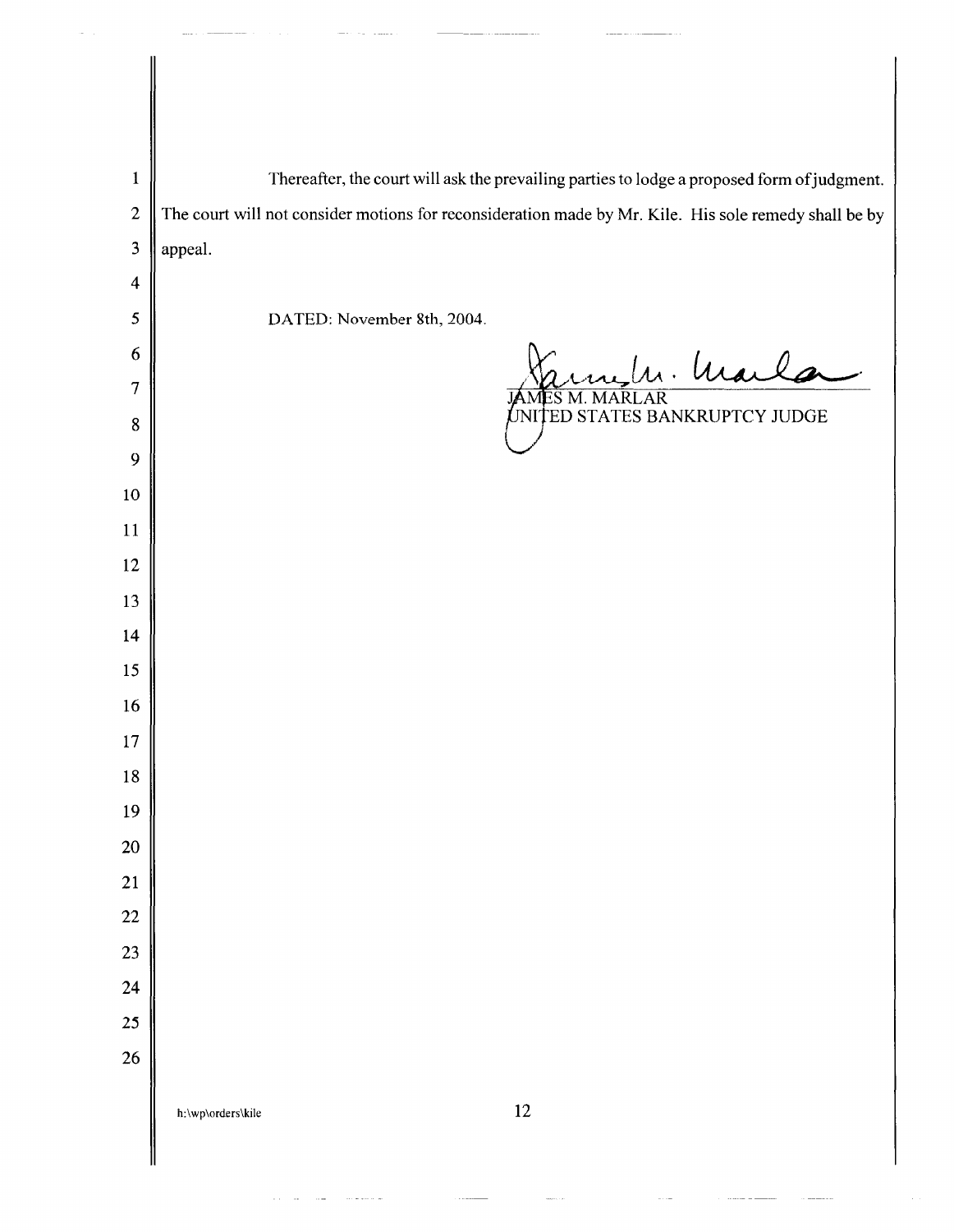| $\mathbf{1}$            | Thereafter, the court will ask the prevailing parties to lodge a proposed form of judgment.           |
|-------------------------|-------------------------------------------------------------------------------------------------------|
| $\boldsymbol{2}$        | The court will not consider motions for reconsideration made by Mr. Kile. His sole remedy shall be by |
| $\mathbf{3}$            | appeal.                                                                                               |
| $\overline{\mathbf{4}}$ |                                                                                                       |
| 5                       | DATED: November 8th, 2004.                                                                            |
| 6                       | n. Marla                                                                                              |
| 7<br>$8\,$              | AR<br>NITED STATES BANKRUPTCY JUDGE                                                                   |
| 9                       |                                                                                                       |
| $10\,$                  |                                                                                                       |
| 11                      |                                                                                                       |
| 12                      |                                                                                                       |
| 13                      |                                                                                                       |
| 14                      |                                                                                                       |
| 15                      |                                                                                                       |
| 16                      |                                                                                                       |
| 17                      |                                                                                                       |
| $18\,$                  |                                                                                                       |
| 19                      |                                                                                                       |
| 20                      |                                                                                                       |
| 21<br>22                |                                                                                                       |
| 23                      |                                                                                                       |
| 24                      |                                                                                                       |
| 25                      |                                                                                                       |
| 26                      |                                                                                                       |
|                         | 12<br>h:\wp\orders\kile                                                                               |
|                         |                                                                                                       |
|                         |                                                                                                       |